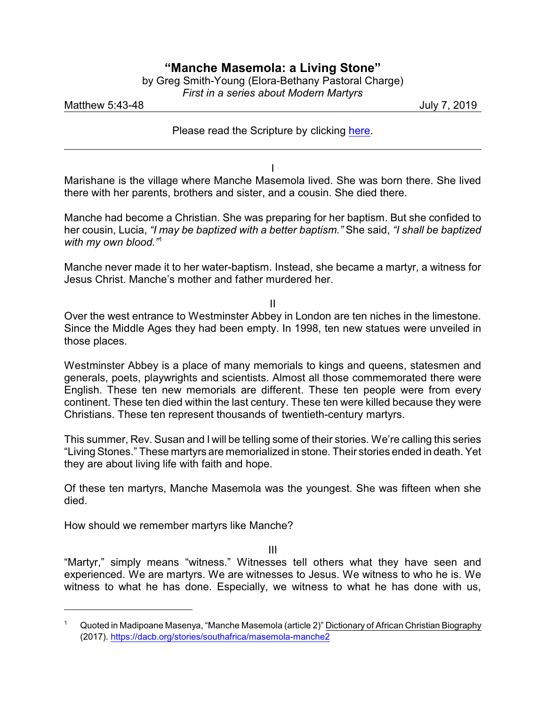## **"Manche Masemola: a Living Stone"**

| by Greg Smith-Young (Elora-Bethany Pastoral Charge) |
|-----------------------------------------------------|
| First in a series about Modern Martyrs              |

Matthew 5:43-48 July 7, 2019

Please read the Scripture by clicking [here](https://www.biblegateway.com/passage/?search=Matthew+5%3A43-48&version=NRSV).

I

Marishane is the village where Manche Masemola lived. She was born there. She lived there with her parents, brothers and sister, and a cousin. She died there.

Manche had become a Christian. She was preparing for her baptism. But she confided to her cousin, Lucia, *"I may be baptized with a better baptism."* She said, *"I shall be baptized with my own blood."*<sup>1</sup>

Manche never made it to her water-baptism. Instead, she became a martyr, a witness for Jesus Christ. Manche's mother and father murdered her.

II

Over the west entrance to Westminster Abbey in London are ten niches in the limestone. Since the Middle Ages they had been empty. In 1998, ten new statues were unveiled in those places.

Westminster Abbey is a place of many memorials to kings and queens, statesmen and generals, poets, playwrights and scientists. Almost all those commemorated there were English. These ten new memorials are different. These ten people were from every continent. These ten died within the last century. These ten were killed because they were Christians. These ten represent thousands of twentieth-century martyrs.

This summer, Rev. Susan and I will be telling some of their stories. We're calling this series "LivingStones." These martyrs are memorialized in stone. Their stories ended in death. Yet they are about living life with faith and hope.

Of these ten martyrs, Manche Masemola was the youngest. She was fifteen when she died.

How should we remember martyrs like Manche?

III

"Martyr," simply means "witness." Witnesses tell others what they have seen and experienced. We are martyrs. We are witnesses to Jesus. We witness to who he is. We witness to what he has done. Especially, we witness to what he has done with us,

<sup>1</sup> Quoted in Madipoane Masenya, "Manche Masemola (article 2)" Dictionary of African Christian Biography (2017). [https://dacb.org/stories/southafrica/masemola-manche2](https://dacb.org/stories/southafrica/masemola-manche2/)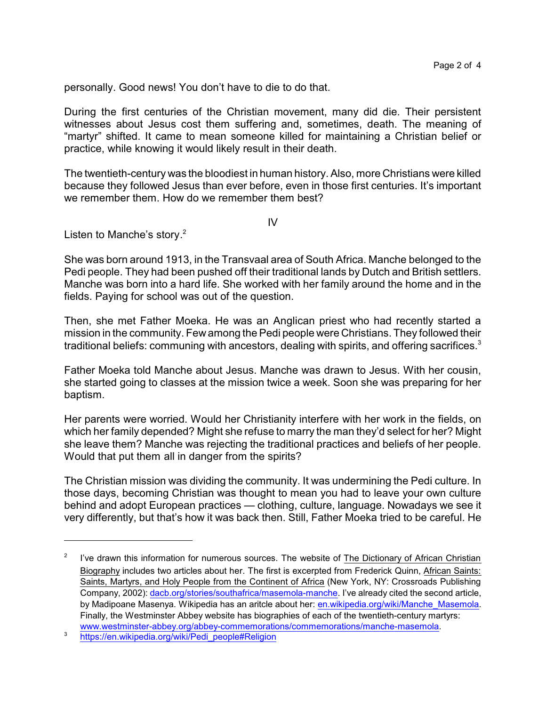personally. Good news! You don't have to die to do that.

During the first centuries of the Christian movement, many did die. Their persistent witnesses about Jesus cost them suffering and, sometimes, death. The meaning of "martyr" shifted. It came to mean someone killed for maintaining a Christian belief or practice, while knowing it would likely result in their death.

The twentieth-century was the bloodiest in human history. Also, more Christians were killed because they followed Jesus than ever before, even in those first centuries. It's important we remember them. How do we remember them best?

 $IV$ 

Listen to Manche's story.<sup>2</sup>

She was born around 1913, in the Transvaal area of South Africa. Manche belonged to the Pedi people. They had been pushed off their traditional lands by Dutch and British settlers. Manche was born into a hard life. She worked with her family around the home and in the fields. Paying for school was out of the question.

Then, she met Father Moeka. He was an Anglican priest who had recently started a mission in the community. Few among the Pedi people were Christians. They followed their traditional beliefs: communing with ancestors, dealing with spirits, and offering sacrifices.<sup>3</sup>

Father Moeka told Manche about Jesus. Manche was drawn to Jesus. With her cousin, she started going to classes at the mission twice a week. Soon she was preparing for her baptism.

Her parents were worried. Would her Christianity interfere with her work in the fields, on which her family depended? Might she refuse to marry the man they'd select for her? Might she leave them? Manche was rejecting the traditional practices and beliefs of her people. Would that put them all in danger from the spirits?

The Christian mission was dividing the community. It was undermining the Pedi culture. In those days, becoming Christian was thought to mean you had to leave your own culture behind and adopt European practices — clothing, culture, language. Nowadays we see it very differently, but that's how it was back then. Still, Father Moeka tried to be careful. He

<sup>2</sup> I've drawn this information for numerous sources. The website of The Dictionary of African Christian Biography includes two articles about her. The first is excerpted from Frederick Quinn, African Saints: Saints, Martyrs, and Holy People from the Continent of Africa (New York, NY: Crossroads Publishing Company, 2002): [dacb.org/stories/southafrica/masemola-manche](https://dacb.org/stories/southafrica/masemola-manche/). I've already cited the second article, by Madipoane Masenya. Wikipedia has an aritcle about her: [en.wikipedia.org/wiki/Manche\\_Masemola](https://en.wikipedia.org/wiki/Manche_Masemola). Finally, the Westminster Abbey website has biographies of each of the twentieth-century martyrs: [www.westminster-abbey.org/abbey-commemorations/commemorations/manche-masemola](http://www.westminster-abbey.org/abbey-commemorations/commemorations/manche-masemola%20).

<sup>3</sup> [https://en.wikipedia.org/wiki/Pedi\\_people#Religion](https://en.wikipedia.org/wiki/Pedi_people#Religion)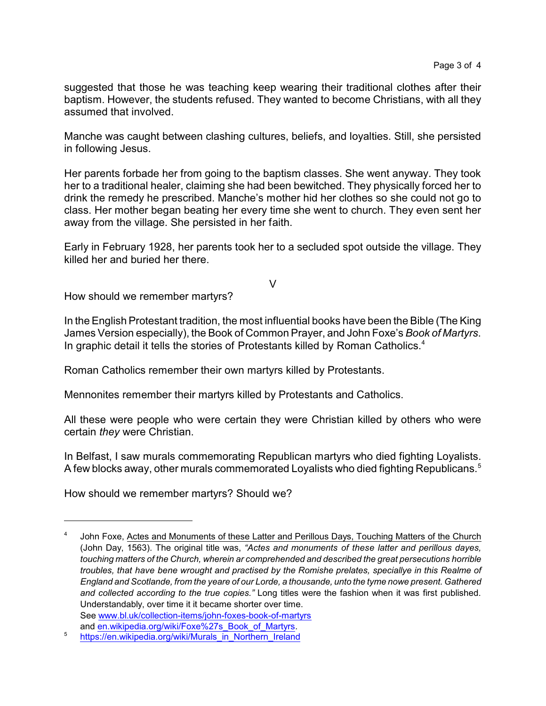suggested that those he was teaching keep wearing their traditional clothes after their baptism. However, the students refused. They wanted to become Christians, with all they assumed that involved.

Manche was caught between clashing cultures, beliefs, and loyalties. Still, she persisted in following Jesus.

Her parents forbade her from going to the baptism classes. She went anyway. They took her to a traditional healer, claiming she had been bewitched. They physically forced her to drink the remedy he prescribed. Manche's mother hid her clothes so she could not go to class. Her mother began beating her every time she went to church. They even sent her away from the village. She persisted in her faith.

Early in February 1928, her parents took her to a secluded spot outside the village. They killed her and buried her there.

V

How should we remember martyrs?

In the English Protestant tradition, the most influential books have been the Bible (The King James Version especially), the Book of Common Prayer, and John Foxe's *Book of Martyrs*. In graphic detail it tells the stories of Protestants killed by Roman Catholics.<sup>4</sup>

Roman Catholics remember their own martyrs killed by Protestants.

Mennonites remember their martyrs killed by Protestants and Catholics.

All these were people who were certain they were Christian killed by others who were certain *they* were Christian.

In Belfast, I saw murals commemorating Republican martyrs who died fighting Loyalists. A few blocks away, other murals commemorated Loyalists who died fighting Republicans.<sup>5</sup>

How should we remember martyrs? Should we?

<sup>4</sup> John Foxe, Actes and Monuments of these Latter and Perillous Days, Touching Matters of the Church (John Day, 1563). The original title was, *"Actes and monuments of these latter and perillous dayes, touching matters of the Church, wherein ar comprehended and described the great persecutions horrible troubles, that have bene wrought and practised by the Romishe prelates, speciallye in this Realme of England and Scotlande, from the yeare of our Lorde, a thousande, unto the tyme nowe present. Gathered and collected according to the true copies."* Long titles were the fashion when it was first published. Understandably, over time it it became shorter over time. See [www.bl.uk/collection-items/john-foxes-book-of-martyrs](https://www.bl.uk/collection-items/john-foxes-book-of-martyrs)

and [en.wikipedia.org/wiki/Foxe%27s\\_Book\\_of\\_Martyrs](https://en.wikipedia.org/wiki/Foxe%27s_Book_of_Martyrs).

<sup>5</sup> [https://en.wikipedia.org/wiki/Murals\\_in\\_Northern\\_Ireland](https://en.wikipedia.org/wiki/Murals_in_Northern_Ireland)